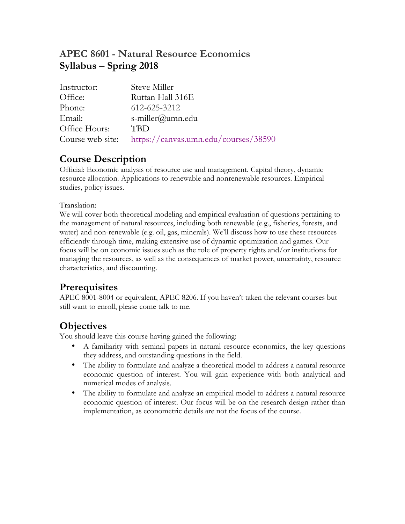# **APEC 8601 - Natural Resource Economics Syllabus – Spring 2018**

| Instructor:      | Steve Miller                         |
|------------------|--------------------------------------|
| Office:          | Ruttan Hall 316E                     |
| Phone:           | 612-625-3212                         |
| Email:           | s-miller@umn.edu                     |
| Office Hours:    | <b>TBD</b>                           |
| Course web site: | https://canvas.umn.edu/courses/38590 |

# **Course Description**

Official: Economic analysis of resource use and management. Capital theory, dynamic resource allocation. Applications to renewable and nonrenewable resources. Empirical studies, policy issues.

## Translation:

We will cover both theoretical modeling and empirical evaluation of questions pertaining to the management of natural resources, including both renewable (e.g., fisheries, forests, and water) and non-renewable (e.g. oil, gas, minerals). We'll discuss how to use these resources efficiently through time, making extensive use of dynamic optimization and games. Our focus will be on economic issues such as the role of property rights and/or institutions for managing the resources, as well as the consequences of market power, uncertainty, resource characteristics, and discounting.

# **Prerequisites**

APEC 8001-8004 or equivalent, APEC 8206. If you haven't taken the relevant courses but still want to enroll, please come talk to me.

# **Objectives**

You should leave this course having gained the following:

- A familiarity with seminal papers in natural resource economics, the key questions they address, and outstanding questions in the field.
- The ability to formulate and analyze a theoretical model to address a natural resource economic question of interest. You will gain experience with both analytical and numerical modes of analysis.
- The ability to formulate and analyze an empirical model to address a natural resource economic question of interest. Our focus will be on the research design rather than implementation, as econometric details are not the focus of the course.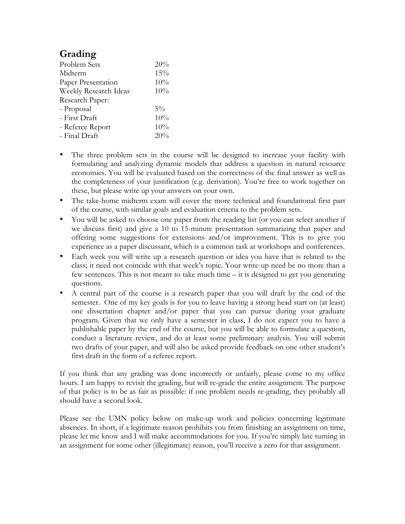# **Grading**

| Problem Sets          | 20%   |
|-----------------------|-------|
| Midterm               | 15%   |
| Paper Presentation    | 10%   |
| Weekly Research Ideas | 10%   |
| Research Paper:       |       |
| - Proposal            | $5\%$ |
| - First Draft         | 10%   |
| - Referee Report      | 10%   |
| - Final Draft         | 20%   |
|                       |       |

- The three problem sets in the course will be designed to increase your facility with formulating and analyzing dynamic models that address a question in natural resource economics. You will be evaluated based on the correctness of the final answer as well as the completeness of your justification (e.g. derivation). You're free to work together on these, but please write up your answers on your own.
- The take-home midterm exam will cover the more technical and foundational first part of the course, with similar goals and evaluation criteria to the problem sets.
- You will be asked to choose one paper from the reading list (or you can select another if we discuss first) and give a 10 to 15-minute presentation summarizing that paper and offering some suggestions for extensions and/or improvement. This is to give you experience as a paper discussant, which is a common task at workshops and conferences.
- Each week you will write up a research question or idea you have that is related to the class; it need not coincide with that week's topic. Your write-up need be no more than a few sentences. This is not meant to take much time – it is designed to get you generating questions.
- A central part of the course is a research paper that you will draft by the end of the semester. One of my key goals is for you to leave having a strong head start on (at least) one dissertation chapter and/or paper that you can pursue during your graduate program. Given that we only have a semester in class, I do not expect you to have a publishable paper by the end of the course, but you will be able to formulate a question, conduct a literature review, and do at least some preliminary analysis. You will submit two drafts of your paper, and will also be asked provide feedback on one other student's first draft in the form of a referee report.

If you think that any grading was done incorrectly or unfairly, please come to my office hours. I am happy to revisit the grading, but will re-grade the entire assignment. The purpose of that policy is to be as fair as possible: if one problem needs re-grading, they probably all should have a second look.

Please see the UMN policy below on make-up work and policies concerning legitimate absences. In short, if a legitimate reason prohibits you from finishing an assignment on time, please let me know and I will make accommodations for you. If you're simply late turning in an assignment for some other (illegitimate) reason, you'll receive a zero for that assignment.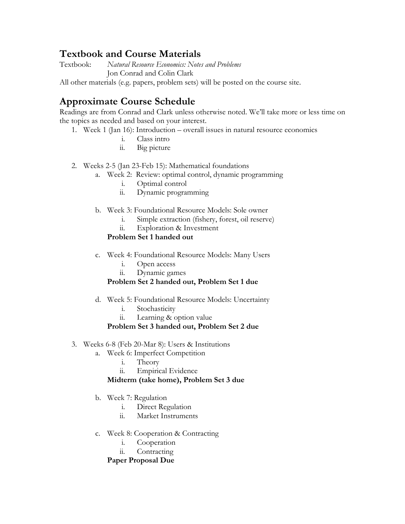# **Textbook and Course Materials**

Textbook: *Natural Resource Economics: Notes and Problems* Jon Conrad and Colin Clark

All other materials (e.g. papers, problem sets) will be posted on the course site.

# **Approximate Course Schedule**

Readings are from Conrad and Clark unless otherwise noted. We'll take more or less time on the topics as needed and based on your interest.

- 1. Week 1 (Jan 16): Introduction overall issues in natural resource economics
	- i. Class intro
	- ii. Big picture
- 2. Weeks 2-5 (Jan 23-Feb 15): Mathematical foundations
	- a. Week 2: Review: optimal control, dynamic programming
		- i. Optimal control
		- ii. Dynamic programming
	- b. Week 3: Foundational Resource Models: Sole owner
		- i. Simple extraction (fishery, forest, oil reserve)
		- ii. Exploration & Investment

## **Problem Set 1 handed out**

- c. Week 4: Foundational Resource Models: Many Users
	- i. Open access
	- ii. Dynamic games

## **Problem Set 2 handed out, Problem Set 1 due**

- d. Week 5: Foundational Resource Models: Uncertainty
	- i. Stochasticity
	- ii. Learning & option value

## **Problem Set 3 handed out, Problem Set 2 due**

- 3. Weeks 6-8 (Feb 20-Mar 8): Users & Institutions
	- a. Week 6: Imperfect Competition
		- i. Theory
		- ii. Empirical Evidence

## **Midterm (take home), Problem Set 3 due**

- b. Week 7: Regulation
	- i. Direct Regulation
	- ii. Market Instruments
- c. Week 8: Cooperation & Contracting
	- i. Cooperation
	- ii. Contracting

## **Paper Proposal Due**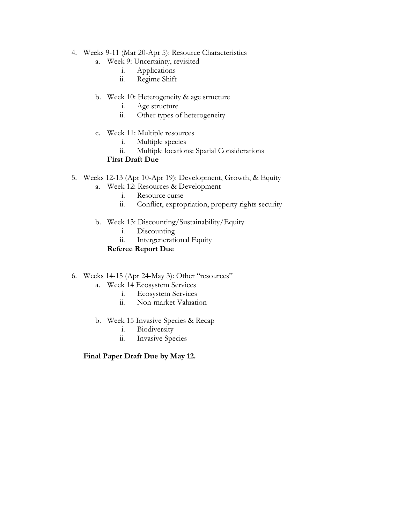- 4. Weeks 9-11 (Mar 20-Apr 5): Resource Characteristics
	- a. Week 9: Uncertainty, revisited
		- i. Applications
		- ii. Regime Shift
	- b. Week 10: Heterogeneity & age structure
		- i. Age structure
		- ii. Other types of heterogeneity
	- c. Week 11: Multiple resources
		- i. Multiple species
		- ii. Multiple locations: Spatial Considerations

## **First Draft Due**

- 5. Weeks 12-13 (Apr 10-Apr 19): Development, Growth, & Equity
	- a. Week 12: Resources & Development
		- i. Resource curse<br>ii. Conflict, expror
		- Conflict, expropriation, property rights security
	- b. Week 13: Discounting/Sustainability/Equity
		- i. Discounting
		- ii. Intergenerational Equity

## **Referee Report Due**

- 6. Weeks 14-15 (Apr 24-May 3): Other "resources"
	- a. Week 14 Ecosystem Services
		- i. Ecosystem Services
		- ii. Non-market Valuation
	- b. Week 15 Invasive Species & Recap
		- i. Biodiversity
		- ii. Invasive Species

## **Final Paper Draft Due by May 12.**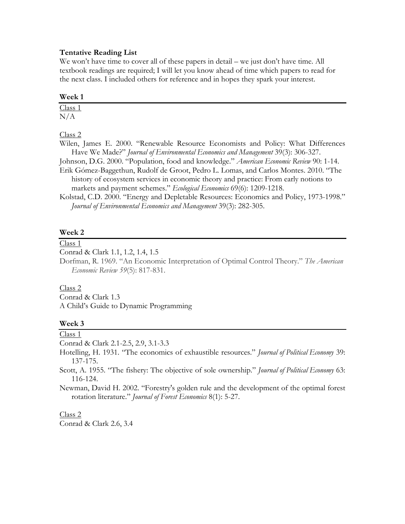### **Tentative Reading List**

We won't have time to cover all of these papers in detail – we just don't have time. All textbook readings are required; I will let you know ahead of time which papers to read for the next class. I included others for reference and in hopes they spark your interest.

#### **Week 1**

Class 1 N/A

Class 2

Wilen, James E. 2000. "Renewable Resource Economists and Policy: What Differences Have We Made?" *Journal of Environmental Economics and Management* 39(3): 306-327.

Johnson, D.G. 2000. "Population, food and knowledge." *American Economic Review* 90: 1-14. Erik Gómez-Baggethun, Rudolf de Groot, Pedro L. Lomas, and Carlos Montes. 2010. "The history of ecosystem services in economic theory and practice: From early notions to markets and payment schemes." *Ecological Economics* 69(6): 1209-1218.

Kolstad, C.D. 2000. "Energy and Depletable Resources: Economics and Policy, 1973-1998." *Journal of Environmental Economics and Management* 39(3): 282-305.

### **Week 2**

Class 1

Conrad & Clark 1.1, 1.2, 1.4, 1.5

Dorfman, R. 1969. "An Economic Interpretation of Optimal Control Theory." *The American Economic Review 59*(5): 817-831.

#### Class 2

Conrad & Clark 1.3

A Child's Guide to Dynamic Programming

## **Week 3**

Class 1

Conrad & Clark 2.1-2.5, 2.9, 3.1-3.3

Hotelling, H. 1931. "The economics of exhaustible resources." *Journal of Political Economy* 39: 137-175.

Scott, A. 1955. "The fishery: The objective of sole ownership." *Journal of Political Economy* 63: 116-124.

Newman, David H. 2002. "Forestry's golden rule and the development of the optimal forest rotation literature." *Journal of Forest Economics* 8(1): 5-27.

#### Class 2

Conrad & Clark 2.6, 3.4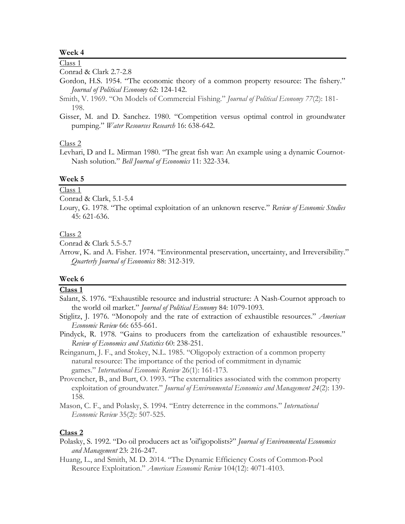#### **Week 4**

# Class 1

Conrad & Clark 2.7-2.8

- Gordon, H.S. 1954. "The economic theory of a common property resource: The fishery." *Journal of Political Economy* 62: 124-142.
- Smith, V. 1969. "On Models of Commercial Fishing." *Journal of Political Economy 77*(2): 181- 198.
- Gisser, M. and D. Sanchez. 1980. "Competition versus optimal control in groundwater pumping." *Water Resources Research* 16: 638-642.

### Class 2

Levhari, D and L. Mirman 1980. "The great fish war: An example using a dynamic Cournot-Nash solution." *Bell Journal of Economics* 11: 322-334.

## **Week 5**

Class 1

Conrad & Clark, 5.1-5.4

Loury, G. 1978. "The optimal exploitation of an unknown reserve." *Review of Economic Studies* 45: 621-636.

#### Class 2

Conrad & Clark 5.5-5.7

Arrow, K. and A. Fisher. 1974. "Environmental preservation, uncertainty, and Irreversibility." *Quarterly Journal of Economics* 88: 312-319.

### **Week 6**

## **Class 1**

- Salant, S. 1976. "Exhaustible resource and industrial structure: A Nash-Cournot approach to the world oil market." *Journal of Political Economy* 84: 1079-1093.
- Stiglitz, J. 1976. "Monopoly and the rate of extraction of exhaustible resources." *American Economic Review* 66: 655-661.
- Pindyck, R. 1978. "Gains to producers from the cartelization of exhaustible resources." *Review of Economics and Statistics* 60: 238-251.
- Reinganum, J. F., and Stokey, N.L. 1985. "Oligopoly extraction of a common property natural resource: The importance of the period of commitment in dynamic games." *International Economic Review* 26(1): 161-173.
- Provencher, B., and Burt, O. 1993. "The externalities associated with the common property exploitation of groundwater." *Journal of Environmental Economics and Management 24*(2): 139- 158.
- Mason, C. F., and Polasky, S. 1994. "Entry deterrence in the commons." *International Economic Review* 35(2): 507-525.

- Polasky, S. 1992. "Do oil producers act as 'oil'igopolists?" *Journal of Environmental Economics and Management* 23: 216-247.
- Huang, L., and Smith, M. D. 2014. "The Dynamic Efficiency Costs of Common-Pool Resource Exploitation." *American Economic Review* 104(12): 4071-4103.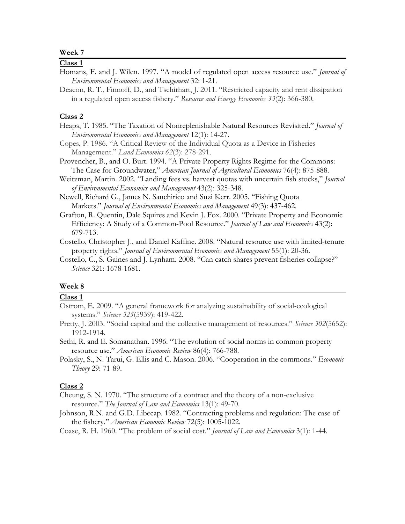## **Week 7**

### **Class 1**

- Homans, F. and J. Wilen. 1997. "A model of regulated open access resource use." *Journal of Environmental Economics and Management* 32: 1-21.
- Deacon, R. T., Finnoff, D., and Tschirhart, J. 2011. "Restricted capacity and rent dissipation in a regulated open access fishery." *Resource and Energy Economics 33*(2): 366-380.

## **Class 2**

- Heaps, T. 1985. "The Taxation of Nonreplenishable Natural Resources Revisited." *Journal of Environmental Economics and Management* 12(1): 14-27.
- Copes, P. 1986. "A Critical Review of the Individual Quota as a Device in Fisheries Management." *Land Economics 62*(3): 278-291.
- Provencher, B., and O. Burt. 1994. "A Private Property Rights Regime for the Commons: The Case for Groundwater," *American Journal of Agricultural Economics* 76(4): 875-888.
- Weitzman, Martin. 2002. "Landing fees vs. harvest quotas with uncertain fish stocks," *Journal of Environmental Economics and Management* 43(2): 325-348.
- Newell, Richard G., James N. Sanchirico and Suzi Kerr. 2005. "Fishing Quota Markets." *Journal of Environmental Economics and Management* 49(3): 437-462.
- Grafton, R. Quentin, Dale Squires and Kevin J. Fox. 2000. "Private Property and Economic Efficiency: A Study of a Common-Pool Resource." *Journal of Law and Economics* 43(2): 679-713.
- Costello, Christopher J., and Daniel Kaffine. 2008. "Natural resource use with limited-tenure property rights." *Journal of Environmental Economics and Management* 55(1): 20-36.
- Costello, C., S. Gaines and J. Lynham. 2008. "Can catch shares prevent fisheries collapse?" *Science* 321: 1678-1681.

## **Week 8**

## **Class 1**

Ostrom, E. 2009. "A general framework for analyzing sustainability of social-ecological systems." *Science 325*(5939): 419-422.

Pretty, J. 2003. "Social capital and the collective management of resources." *Science 302*(5652): 1912-1914.

- Sethi, R. and E. Somanathan. 1996. "The evolution of social norms in common property resource use." *American Economic Review* 86(4): 766-788.
- Polasky, S., N. Tarui, G. Ellis and C. Mason. 2006. "Cooperation in the commons." *Economic Theory* 29: 71-89.

- Cheung, S. N. 1970. "The structure of a contract and the theory of a non-exclusive resource." *The Journal of Law and Economics* 13(1): 49-70.
- Johnson, R.N. and G.D. Libecap. 1982. "Contracting problems and regulation: The case of the fishery." *American Economic Review* 72(5): 1005-1022.
- Coase, R. H. 1960. "The problem of social cost." *Journal of Law and Economics* 3(1): 1-44.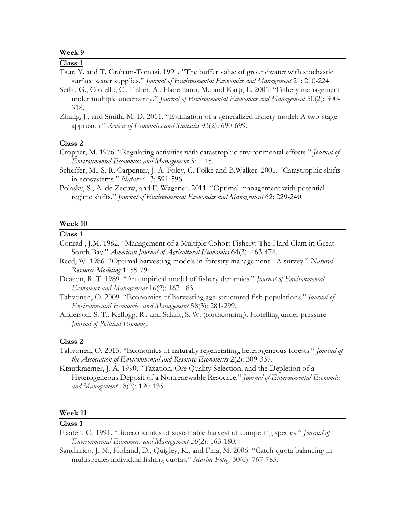### **Week 9**

## **Class 1**

- Tsur, Y. and T. Graham-Tomasi. 1991. "The buffer value of groundwater with stochastic surface water supplies." *Journal of Environmental Economics and Management* 21: 210-224.
- Sethi, G., Costello, C., Fisher, A., Hanemann, M., and Karp, L. 2005. "Fishery management under multiple uncertainty." *Journal of Environmental Economics and Management* 50(2): 300- 318.
- Zhang, J., and Smith, M. D. 2011. "Estimation of a generalized fishery model: A two-stage approach." *Review of Economics and Statistics* 93(2): 690-699.

## **Class 2**

- Cropper, M. 1976. "Regulating activities with catastrophic environmental effects." *Journal of Environmental Economics and Management* 3: 1-15.
- Scheffer, M., S. R. Carpenter, J. A. Foley, C. Folke and B.Walker. 2001. "Catastrophic shifts in ecosystems." *Nature* 413: 591-596.
- Polasky, S., A. de Zeeuw, and F. Wagener. 2011. "Optimal management with potential regime shifts." *Journal of Environmental Economics and Management* 62: 229-240.

### **Week 10**

## **Class 1**

- Conrad , J.M. 1982. "Management of a Multiple Cohort Fishery: The Hard Clam in Great South Bay." *American Journal of Agricultural Economics* 64(3): 463-474.
- Reed, W. 1986. "Optimal harvesting models in forestry management A survey." *Natural Resource Modeling* 1: 55-79.
- Deacon, R. T. 1989. "An empirical model of fishery dynamics." *Journal of Environmental Economics and Management* 16(2): 167-183.
- Tahvonen, O. 2009. "Economics of harvesting age-structured fish populations." *Journal of Environmental Economics and Management* 58(3): 281-299.
- Anderson, S. T., Kellogg, R., and Salant, S. W. (forthcoming). Hotelling under pressure. *Journal of Political Economy.*

### **Class 2**

- Tahvonen, O. 2015. "Economics of naturally regenerating, heterogeneous forests." *Journal of the Association of Environmental and Resource Economists* 2(2): 309-337.
- Krautkraemer, J. A. 1990. "Taxation, Ore Quality Selection, and the Depletion of a Heterogeneous Deposit of a Nonrenewable Resource." *Journal of Environmental Economics and Management* 18(2): 120-135.

#### **Week 11**

- Flaaten, O. 1991. "Bioeconomics of sustainable harvest of competing species." *Journal of Environmental Economics and Management 20*(2): 163-180.
- Sanchirico, J. N., Holland, D., Quigley, K., and Fina, M. 2006. "Catch-quota balancing in multispecies individual fishing quotas." *Marine Policy* 30(6): 767-785.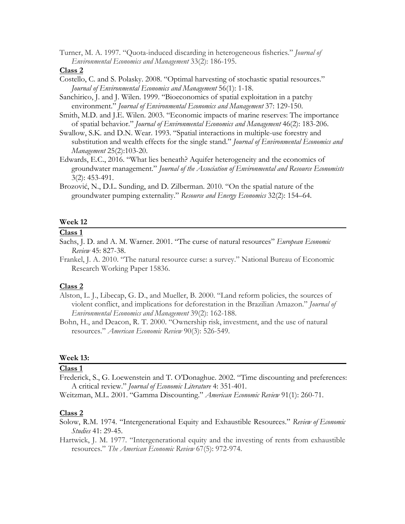Turner, M. A. 1997. "Quota-induced discarding in heterogeneous fisheries." *Journal of Environmental Economics and Management* 33(2): 186-195.

#### **Class 2**

- Costello, C. and S. Polasky. 2008. "Optimal harvesting of stochastic spatial resources." *Journal of Environmental Economics and Management* 56(1): 1-18.
- Sanchirico, J. and J. Wilen. 1999. "Bioeconomics of spatial exploitation in a patchy environment." *Journal of Environmental Economics and Management* 37: 129-150.
- Smith, M.D. and J.E. Wilen. 2003. "Economic impacts of marine reserves: The importance of spatial behavior." *Journal of Environmental Economics and Management* 46(2): 183-206.
- Swallow, S.K. and D.N. Wear. 1993. "Spatial interactions in multiple-use forestry and substitution and wealth effects for the single stand." *Journal of Environmental Economics and Management* 25(2):103-20.
- Edwards, E.C., 2016. "What lies beneath? Aquifer heterogeneity and the economics of groundwater management." *Journal of the Association of Environmental and Resource Economists* 3(2): 453-491.
- Brozović, N., D.L. Sunding, and D. Zilberman. 2010. "On the spatial nature of the groundwater pumping externality." *Resource and Energy Economics* 32(2): 154–64.

### **Week 12**

## **Class 1**

- Sachs, J. D. and A. M. Warner. 2001. "The curse of natural resources" *European Economic Review* 45: 827-38.
- Frankel, J. A. 2010. "The natural resource curse: a survey." National Bureau of Economic Research Working Paper 15836.

#### **Class 2**

- Alston, L. J., Libecap, G. D., and Mueller, B. 2000. "Land reform policies, the sources of violent conflict, and implications for deforestation in the Brazilian Amazon." *Journal of Environmental Economics and Management* 39(2): 162-188.
- Bohn, H., and Deacon, R. T. 2000. "Ownership risk, investment, and the use of natural resources." *American Economic Review* 90(3): 526-549.

## **Week 13:**

## **Class 1**

Frederick, S., G. Loewenstein and T. O'Donaghue. 2002. "Time discounting and preferences: A critical review." *Journal of Economic Literature* 4: 351-401.

Weitzman, M.L. 2001. "Gamma Discounting." *American Economic Review* 91(1): 260-71.

- Solow, R.M. 1974. "Intergenerational Equity and Exhaustible Resources." *Review of Economic Studies* 41: 29-45.
- Hartwick, J. M. 1977. "Intergenerational equity and the investing of rents from exhaustible resources." *The American Economic Review* 67(5): 972-974.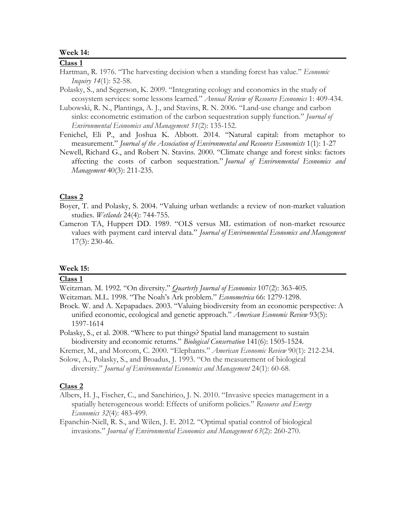#### **Week 14:**

### **Class 1**

- Hartman, R. 1976. "The harvesting decision when a standing forest has value." *Economic Inquiry 14*(1): 52-58.
- Polasky, S., and Segerson, K. 2009. "Integrating ecology and economics in the study of ecosystem services: some lessons learned." *Annual Review of Resource Economics* 1: 409-434.

Lubowski, R. N., Plantinga, A. J., and Stavins, R. N. 2006. "Land-use change and carbon sinks: econometric estimation of the carbon sequestration supply function." *Journal of Environmental Economics and Management 51*(2): 135-152.

- Fenichel, Eli P., and Joshua K. Abbott. 2014. "Natural capital: from metaphor to measurement." *Journal of the Association of Environmental and Resource Economists* 1(1): 1-27
- Newell, Richard G., and Robert N. Stavins. 2000. "Climate change and forest sinks: factors affecting the costs of carbon sequestration." *Journal of Environmental Economics and Management* 40(3): 211-235.

## **Class 2**

Boyer, T. and Polasky, S. 2004. "Valuing urban wetlands: a review of non-market valuation studies. *Wetlands* 24(4): 744-755.

Cameron TA, Huppert DD. 1989. "OLS versus ML estimation of non-market resource values with payment card interval data." *Journal of Environmental Economics and Management* 17(3): 230-46.

#### **Week 15:**

## **Class 1**

Weitzman. M. 1992. "On diversity." *Quarterly Journal of Economics* 107(2): 363-405.

- Weitzman. M.L. 1998. "The Noah's Ark problem." *Econometrica* 66: 1279-1298.
- Brock. W. and A. Xepapadaes. 2003. "Valuing biodiversity from an economic perspective: A unified economic, ecological and genetic approach." *American Economic Review* 93(5): 1597-1614

Polasky, S., et al. 2008. "Where to put things? Spatial land management to sustain biodiversity and economic returns." *Biological Conservation* 141(6): 1505-1524.

Kremer, M., and Morcom, C. 2000. "Elephants." *American Economic Review* 90(1): 212-234.

Solow, A., Polasky, S., and Broadus, J. 1993. "On the measurement of biological diversity." *Journal of Environmental Economics and Management* 24(1): 60-68.

#### **Class 2**

Albers, H. J., Fischer, C., and Sanchirico, J. N. 2010. "Invasive species management in a spatially heterogeneous world: Effects of uniform policies." *Resource and Energy Economics 32*(4): 483-499.

Epanchin-Niell, R. S., and Wilen, J. E. 2012. "Optimal spatial control of biological invasions." *Journal of Environmental Economics and Management 63*(2): 260-270.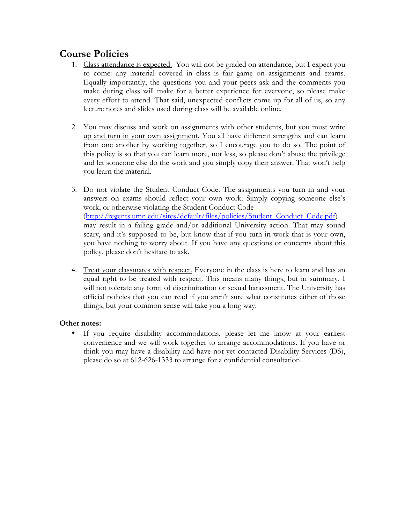# **Course Policies**

- 1. Class attendance is expected. You will not be graded on attendance, but I expect you to come: any material covered in class is fair game on assignments and exams. Equally importantly, the questions you and your peers ask and the comments you make during class will make for a better experience for everyone, so please make every effort to attend. That said, unexpected conflicts come up for all of us, so any lecture notes and slides used during class will be available online.
- 2. You may discuss and work on assignments with other students, but you must write up and turn in your own assignment. You all have different strengths and can learn from one another by working together, so I encourage you to do so. The point of this policy is so that you can learn more, not less, so please don't abuse the privilege and let someone else do the work and you simply copy their answer. That won't help you learn the material.
- 3. Do not violate the Student Conduct Code. The assignments you turn in and your answers on exams should reflect your own work. Simply copying someone else's work, or otherwise violating the Student Conduct Code (http://regents.umn.edu/sites/default/files/policies/Student\_Conduct\_Code.pdf) may result in a failing grade and/or additional University action. That may sound scary, and it's supposed to be, but know that if you turn in work that is your own, you have nothing to worry about. If you have any questions or concerns about this policy, please don't hesitate to ask.
- 4. Treat your classmates with respect. Everyone in the class is here to learn and has an equal right to be treated with respect. This means many things, but in summary, I will not tolerate any form of discrimination or sexual harassment. The University has official policies that you can read if you aren't sure what constitutes either of those things, but your common sense will take you a long way.

## **Other notes:**

• If you require disability accommodations, please let me know at your earliest convenience and we will work together to arrange accommodations. If you have or think you may have a disability and have not yet contacted Disability Services (DS), please do so at 612-626-1333 to arrange for a confidential consultation.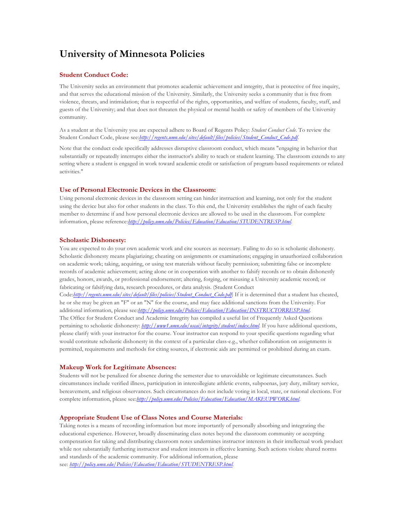# **University of Minnesota Policies**

#### **Student Conduct Code:**

The University seeks an environment that promotes academic achievement and integrity, that is protective of free inquiry, and that serves the educational mission of the University. Similarly, the University seeks a community that is free from violence, threats, and intimidation; that is respectful of the rights, opportunities, and welfare of students, faculty, staff, and guests of the University; and that does not threaten the physical or mental health or safety of members of the University community.

As a student at the University you are expected adhere to Board of Regents Policy: *Student Conduct Code*. To review the Student Conduct Code, please see:*http://regents.umn.edu/sites/default/files/policies/Student\_Conduct\_Code.pdf*.

Note that the conduct code specifically addresses disruptive classroom conduct, which means "engaging in behavior that substantially or repeatedly interrupts either the instructor's ability to teach or student learning. The classroom extends to any setting where a student is engaged in work toward academic credit or satisfaction of program-based requirements or related activities."

#### **Use of Personal Electronic Devices in the Classroom:**

Using personal electronic devices in the classroom setting can hinder instruction and learning, not only for the student using the device but also for other students in the class. To this end, the University establishes the right of each faculty member to determine if and how personal electronic devices are allowed to be used in the classroom. For complete information, please reference:*http://policy.umn.edu/Policies/Education/Education/STUDENTRESP.html*.

#### **Scholastic Dishonesty:**

You are expected to do your own academic work and cite sources as necessary. Failing to do so is scholastic dishonesty. Scholastic dishonesty means plagiarizing; cheating on assignments or examinations; engaging in unauthorized collaboration on academic work; taking, acquiring, or using test materials without faculty permission; submitting false or incomplete records of academic achievement; acting alone or in cooperation with another to falsify records or to obtain dishonestly grades, honors, awards, or professional endorsement; altering, forging, or misusing a University academic record; or fabricating or falsifying data, research procedures, or data analysis. (Student Conduct Code:*http://regents.umn.edu/sites/default/files/policies/Student\_Conduct\_Code.pdf*) If it is determined that a student has cheated, he or she may be given an "F" or an "N" for the course, and may face additional sanctions from the University. For additional information, please see:*http://policy.umn.edu/Policies/Education/Education/INSTRUCTORRESP.html*. The Office for Student Conduct and Academic Integrity has compiled a useful list of Frequently Asked Questions pertaining to scholastic dishonesty: *http://www1.umn.edu/oscai/integrity/student/index.html*. If you have additional questions, please clarify with your instructor for the course. Your instructor can respond to your specific questions regarding what would constitute scholastic dishonesty in the context of a particular class-e.g., whether collaboration on assignments is permitted, requirements and methods for citing sources, if electronic aids are permitted or prohibited during an exam.

#### **Makeup Work for Legitimate Absences:**

Students will not be penalized for absence during the semester due to unavoidable or legitimate circumstances. Such circumstances include verified illness, participation in intercollegiate athletic events, subpoenas, jury duty, military service, bereavement, and religious observances. Such circumstances do not include voting in local, state, or national elections. For complete information, please see:*http://policy.umn.edu/Policies/Education/Education/MAKEUPWORK.html*.

#### **Appropriate Student Use of Class Notes and Course Materials:**

Taking notes is a means of recording information but more importantly of personally absorbing and integrating the educational experience. However, broadly disseminating class notes beyond the classroom community or accepting compensation for taking and distributing classroom notes undermines instructor interests in their intellectual work product while not substantially furthering instructor and student interests in effective learning. Such actions violate shared norms and standards of the academic community. For additional information, please see: *http://policy.umn.edu/Policies/Education/Education/STUDENTRESP.html*.